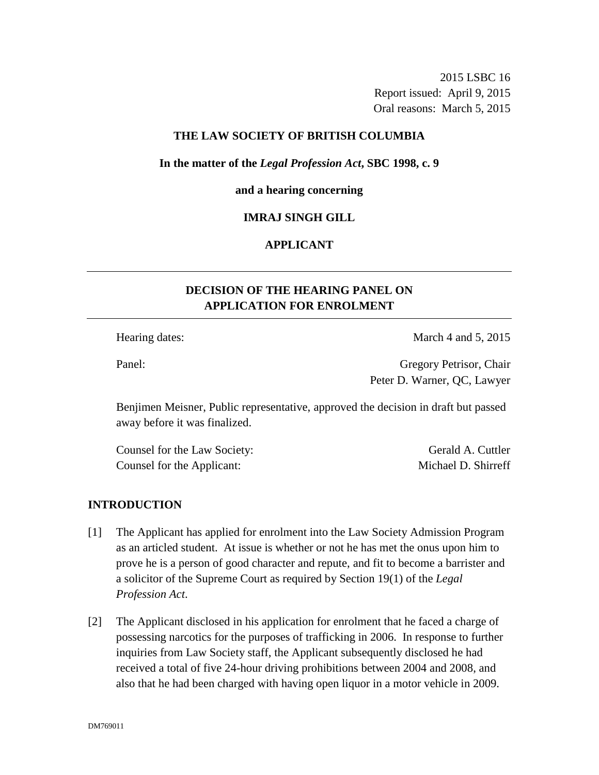2015 LSBC 16 Report issued: April 9, 2015 Oral reasons: March 5, 2015

### **THE LAW SOCIETY OF BRITISH COLUMBIA**

### **In the matter of the** *Legal Profession Act***, SBC 1998, c. 9**

#### **and a hearing concerning**

### **IMRAJ SINGH GILL**

# **APPLICANT**

# **DECISION OF THE HEARING PANEL ON APPLICATION FOR ENROLMENT**

Hearing dates: March 4 and 5, 2015

Panel: Gregory Petrisor, Chair Peter D. Warner, QC, Lawyer

Benjimen Meisner, Public representative, approved the decision in draft but passed away before it was finalized.

Counsel for the Law Society: Gerald A. Cuttler Counsel for the Applicant: Michael D. Shirreff

# **INTRODUCTION**

- [1] The Applicant has applied for enrolment into the Law Society Admission Program as an articled student. At issue is whether or not he has met the onus upon him to prove he is a person of good character and repute, and fit to become a barrister and a solicitor of the Supreme Court as required by Section 19(1) of the *Legal Profession Act*.
- [2] The Applicant disclosed in his application for enrolment that he faced a charge of possessing narcotics for the purposes of trafficking in 2006. In response to further inquiries from Law Society staff, the Applicant subsequently disclosed he had received a total of five 24-hour driving prohibitions between 2004 and 2008, and also that he had been charged with having open liquor in a motor vehicle in 2009.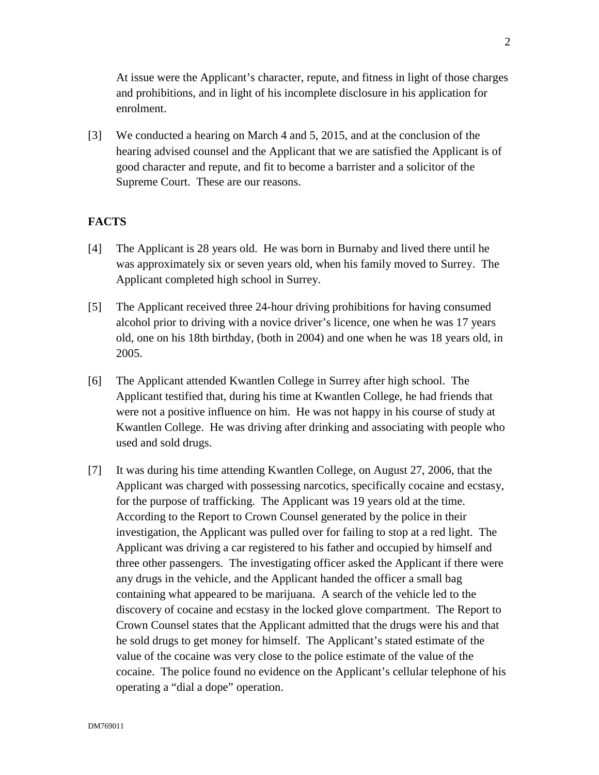At issue were the Applicant's character, repute, and fitness in light of those charges and prohibitions, and in light of his incomplete disclosure in his application for enrolment.

[3] We conducted a hearing on March 4 and 5, 2015, and at the conclusion of the hearing advised counsel and the Applicant that we are satisfied the Applicant is of good character and repute, and fit to become a barrister and a solicitor of the Supreme Court. These are our reasons.

### **FACTS**

- [4] The Applicant is 28 years old. He was born in Burnaby and lived there until he was approximately six or seven years old, when his family moved to Surrey. The Applicant completed high school in Surrey.
- [5] The Applicant received three 24-hour driving prohibitions for having consumed alcohol prior to driving with a novice driver's licence, one when he was 17 years old, one on his 18th birthday, (both in 2004) and one when he was 18 years old, in 2005.
- [6] The Applicant attended Kwantlen College in Surrey after high school. The Applicant testified that, during his time at Kwantlen College, he had friends that were not a positive influence on him. He was not happy in his course of study at Kwantlen College. He was driving after drinking and associating with people who used and sold drugs.
- [7] It was during his time attending Kwantlen College, on August 27, 2006, that the Applicant was charged with possessing narcotics, specifically cocaine and ecstasy, for the purpose of trafficking. The Applicant was 19 years old at the time. According to the Report to Crown Counsel generated by the police in their investigation, the Applicant was pulled over for failing to stop at a red light. The Applicant was driving a car registered to his father and occupied by himself and three other passengers. The investigating officer asked the Applicant if there were any drugs in the vehicle, and the Applicant handed the officer a small bag containing what appeared to be marijuana. A search of the vehicle led to the discovery of cocaine and ecstasy in the locked glove compartment. The Report to Crown Counsel states that the Applicant admitted that the drugs were his and that he sold drugs to get money for himself. The Applicant's stated estimate of the value of the cocaine was very close to the police estimate of the value of the cocaine. The police found no evidence on the Applicant's cellular telephone of his operating a "dial a dope" operation.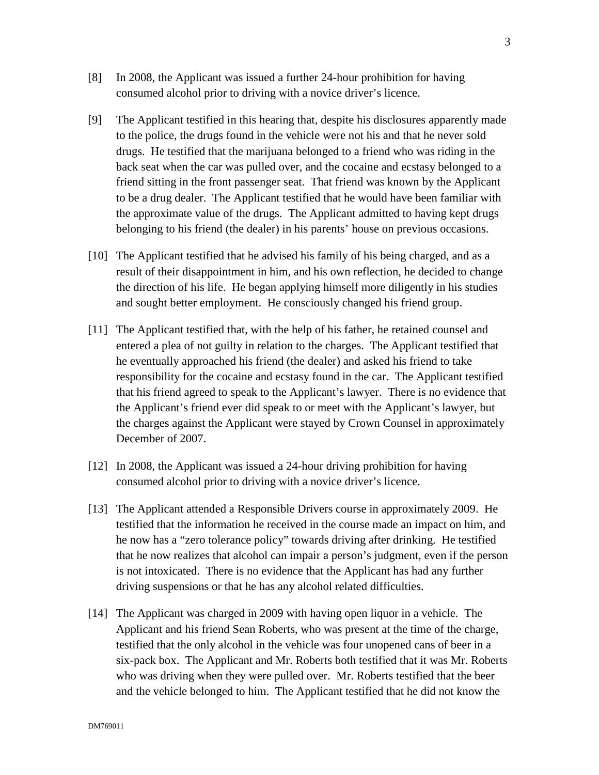- [8] In 2008, the Applicant was issued a further 24-hour prohibition for having consumed alcohol prior to driving with a novice driver's licence.
- [9] The Applicant testified in this hearing that, despite his disclosures apparently made to the police, the drugs found in the vehicle were not his and that he never sold drugs. He testified that the marijuana belonged to a friend who was riding in the back seat when the car was pulled over, and the cocaine and ecstasy belonged to a friend sitting in the front passenger seat. That friend was known by the Applicant to be a drug dealer. The Applicant testified that he would have been familiar with the approximate value of the drugs. The Applicant admitted to having kept drugs belonging to his friend (the dealer) in his parents' house on previous occasions.
- [10] The Applicant testified that he advised his family of his being charged, and as a result of their disappointment in him, and his own reflection, he decided to change the direction of his life. He began applying himself more diligently in his studies and sought better employment. He consciously changed his friend group.
- [11] The Applicant testified that, with the help of his father, he retained counsel and entered a plea of not guilty in relation to the charges. The Applicant testified that he eventually approached his friend (the dealer) and asked his friend to take responsibility for the cocaine and ecstasy found in the car. The Applicant testified that his friend agreed to speak to the Applicant's lawyer. There is no evidence that the Applicant's friend ever did speak to or meet with the Applicant's lawyer, but the charges against the Applicant were stayed by Crown Counsel in approximately December of 2007.
- [12] In 2008, the Applicant was issued a 24-hour driving prohibition for having consumed alcohol prior to driving with a novice driver's licence.
- [13] The Applicant attended a Responsible Drivers course in approximately 2009. He testified that the information he received in the course made an impact on him, and he now has a "zero tolerance policy" towards driving after drinking. He testified that he now realizes that alcohol can impair a person's judgment, even if the person is not intoxicated. There is no evidence that the Applicant has had any further driving suspensions or that he has any alcohol related difficulties.
- [14] The Applicant was charged in 2009 with having open liquor in a vehicle. The Applicant and his friend Sean Roberts, who was present at the time of the charge, testified that the only alcohol in the vehicle was four unopened cans of beer in a six-pack box. The Applicant and Mr. Roberts both testified that it was Mr. Roberts who was driving when they were pulled over. Mr. Roberts testified that the beer and the vehicle belonged to him. The Applicant testified that he did not know the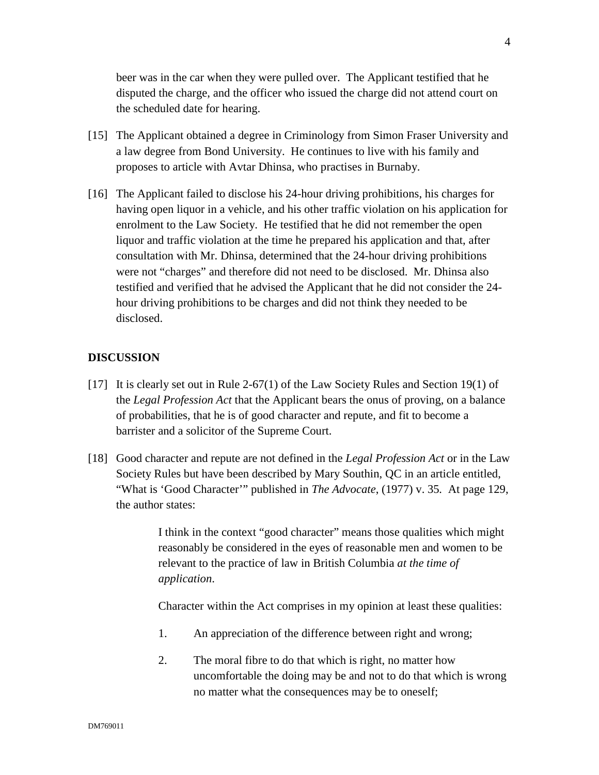beer was in the car when they were pulled over. The Applicant testified that he disputed the charge, and the officer who issued the charge did not attend court on the scheduled date for hearing.

- [15] The Applicant obtained a degree in Criminology from Simon Fraser University and a law degree from Bond University. He continues to live with his family and proposes to article with Avtar Dhinsa, who practises in Burnaby.
- [16] The Applicant failed to disclose his 24-hour driving prohibitions, his charges for having open liquor in a vehicle, and his other traffic violation on his application for enrolment to the Law Society. He testified that he did not remember the open liquor and traffic violation at the time he prepared his application and that, after consultation with Mr. Dhinsa, determined that the 24-hour driving prohibitions were not "charges" and therefore did not need to be disclosed. Mr. Dhinsa also testified and verified that he advised the Applicant that he did not consider the 24 hour driving prohibitions to be charges and did not think they needed to be disclosed.

### **DISCUSSION**

- [17] It is clearly set out in Rule 2-67(1) of the Law Society Rules and Section 19(1) of the *Legal Profession Act* that the Applicant bears the onus of proving, on a balance of probabilities, that he is of good character and repute, and fit to become a barrister and a solicitor of the Supreme Court.
- [18] Good character and repute are not defined in the *Legal Profession Act* or in the Law Society Rules but have been described by Mary Southin, QC in an article entitled, "What is 'Good Character'" published in *The Advocate*, (1977) v. 35*.* At page 129, the author states:

I think in the context "good character" means those qualities which might reasonably be considered in the eyes of reasonable men and women to be relevant to the practice of law in British Columbia *at the time of application*.

Character within the Act comprises in my opinion at least these qualities:

- 1. An appreciation of the difference between right and wrong;
- 2. The moral fibre to do that which is right, no matter how uncomfortable the doing may be and not to do that which is wrong no matter what the consequences may be to oneself;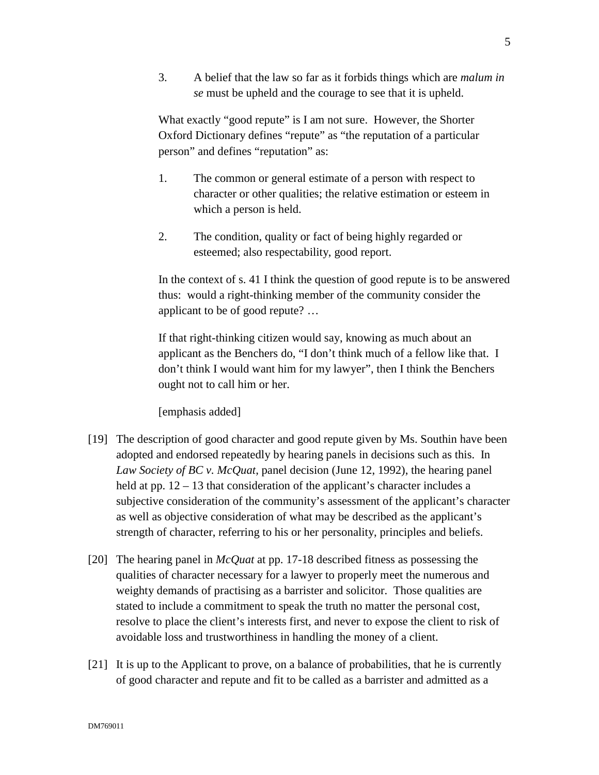3. A belief that the law so far as it forbids things which are *malum in se* must be upheld and the courage to see that it is upheld.

What exactly "good repute" is I am not sure. However, the Shorter Oxford Dictionary defines "repute" as "the reputation of a particular person" and defines "reputation" as:

- 1. The common or general estimate of a person with respect to character or other qualities; the relative estimation or esteem in which a person is held.
- 2. The condition, quality or fact of being highly regarded or esteemed; also respectability, good report.

In the context of s. 41 I think the question of good repute is to be answered thus: would a right-thinking member of the community consider the applicant to be of good repute? …

If that right-thinking citizen would say, knowing as much about an applicant as the Benchers do, "I don't think much of a fellow like that. I don't think I would want him for my lawyer", then I think the Benchers ought not to call him or her.

[emphasis added]

- [19] The description of good character and good repute given by Ms. Southin have been adopted and endorsed repeatedly by hearing panels in decisions such as this. In *Law Society of BC v. McQuat*, panel decision (June 12, 1992), the hearing panel held at pp. 12 – 13 that consideration of the applicant's character includes a subjective consideration of the community's assessment of the applicant's character as well as objective consideration of what may be described as the applicant's strength of character, referring to his or her personality, principles and beliefs.
- [20] The hearing panel in *McQuat* at pp. 17-18 described fitness as possessing the qualities of character necessary for a lawyer to properly meet the numerous and weighty demands of practising as a barrister and solicitor. Those qualities are stated to include a commitment to speak the truth no matter the personal cost, resolve to place the client's interests first, and never to expose the client to risk of avoidable loss and trustworthiness in handling the money of a client.
- [21] It is up to the Applicant to prove, on a balance of probabilities, that he is currently of good character and repute and fit to be called as a barrister and admitted as a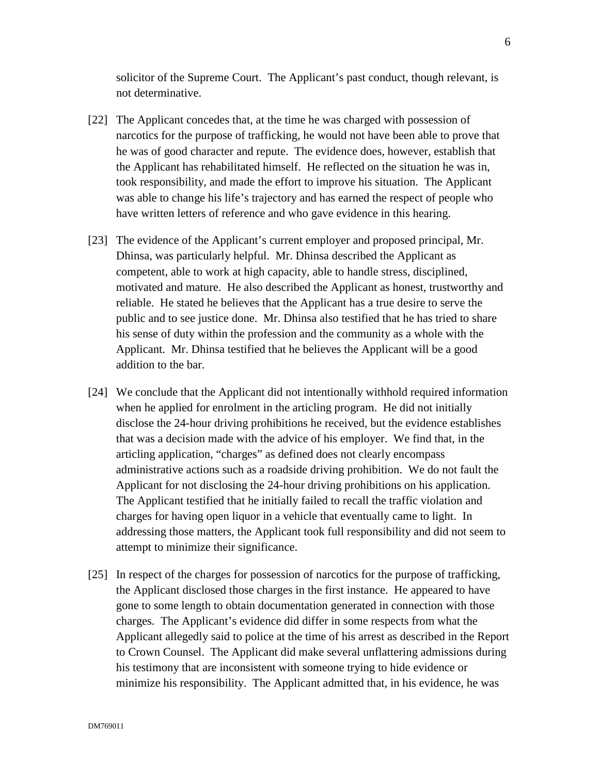solicitor of the Supreme Court. The Applicant's past conduct, though relevant, is not determinative.

- [22] The Applicant concedes that, at the time he was charged with possession of narcotics for the purpose of trafficking, he would not have been able to prove that he was of good character and repute. The evidence does, however, establish that the Applicant has rehabilitated himself. He reflected on the situation he was in, took responsibility, and made the effort to improve his situation. The Applicant was able to change his life's trajectory and has earned the respect of people who have written letters of reference and who gave evidence in this hearing.
- [23] The evidence of the Applicant's current employer and proposed principal, Mr. Dhinsa, was particularly helpful. Mr. Dhinsa described the Applicant as competent, able to work at high capacity, able to handle stress, disciplined, motivated and mature. He also described the Applicant as honest, trustworthy and reliable. He stated he believes that the Applicant has a true desire to serve the public and to see justice done. Mr. Dhinsa also testified that he has tried to share his sense of duty within the profession and the community as a whole with the Applicant. Mr. Dhinsa testified that he believes the Applicant will be a good addition to the bar.
- [24] We conclude that the Applicant did not intentionally withhold required information when he applied for enrolment in the articling program. He did not initially disclose the 24-hour driving prohibitions he received, but the evidence establishes that was a decision made with the advice of his employer. We find that, in the articling application, "charges" as defined does not clearly encompass administrative actions such as a roadside driving prohibition. We do not fault the Applicant for not disclosing the 24-hour driving prohibitions on his application. The Applicant testified that he initially failed to recall the traffic violation and charges for having open liquor in a vehicle that eventually came to light. In addressing those matters, the Applicant took full responsibility and did not seem to attempt to minimize their significance.
- [25] In respect of the charges for possession of narcotics for the purpose of trafficking, the Applicant disclosed those charges in the first instance. He appeared to have gone to some length to obtain documentation generated in connection with those charges. The Applicant's evidence did differ in some respects from what the Applicant allegedly said to police at the time of his arrest as described in the Report to Crown Counsel. The Applicant did make several unflattering admissions during his testimony that are inconsistent with someone trying to hide evidence or minimize his responsibility. The Applicant admitted that, in his evidence, he was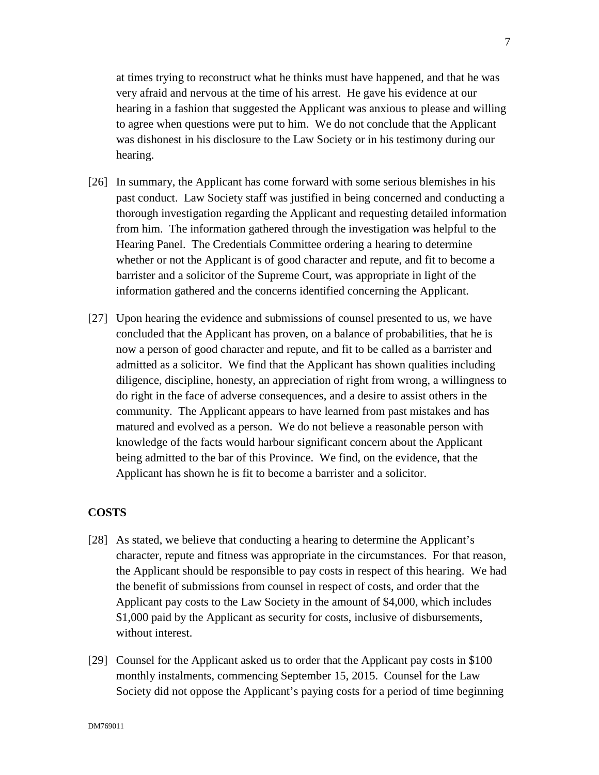at times trying to reconstruct what he thinks must have happened, and that he was very afraid and nervous at the time of his arrest. He gave his evidence at our hearing in a fashion that suggested the Applicant was anxious to please and willing to agree when questions were put to him. We do not conclude that the Applicant was dishonest in his disclosure to the Law Society or in his testimony during our hearing.

- [26] In summary, the Applicant has come forward with some serious blemishes in his past conduct. Law Society staff was justified in being concerned and conducting a thorough investigation regarding the Applicant and requesting detailed information from him. The information gathered through the investigation was helpful to the Hearing Panel. The Credentials Committee ordering a hearing to determine whether or not the Applicant is of good character and repute, and fit to become a barrister and a solicitor of the Supreme Court, was appropriate in light of the information gathered and the concerns identified concerning the Applicant.
- [27] Upon hearing the evidence and submissions of counsel presented to us, we have concluded that the Applicant has proven, on a balance of probabilities, that he is now a person of good character and repute, and fit to be called as a barrister and admitted as a solicitor. We find that the Applicant has shown qualities including diligence, discipline, honesty, an appreciation of right from wrong, a willingness to do right in the face of adverse consequences, and a desire to assist others in the community. The Applicant appears to have learned from past mistakes and has matured and evolved as a person. We do not believe a reasonable person with knowledge of the facts would harbour significant concern about the Applicant being admitted to the bar of this Province. We find, on the evidence, that the Applicant has shown he is fit to become a barrister and a solicitor.

# **COSTS**

- [28] As stated, we believe that conducting a hearing to determine the Applicant's character, repute and fitness was appropriate in the circumstances. For that reason, the Applicant should be responsible to pay costs in respect of this hearing. We had the benefit of submissions from counsel in respect of costs, and order that the Applicant pay costs to the Law Society in the amount of \$4,000, which includes \$1,000 paid by the Applicant as security for costs, inclusive of disbursements, without interest.
- [29] Counsel for the Applicant asked us to order that the Applicant pay costs in \$100 monthly instalments, commencing September 15, 2015. Counsel for the Law Society did not oppose the Applicant's paying costs for a period of time beginning